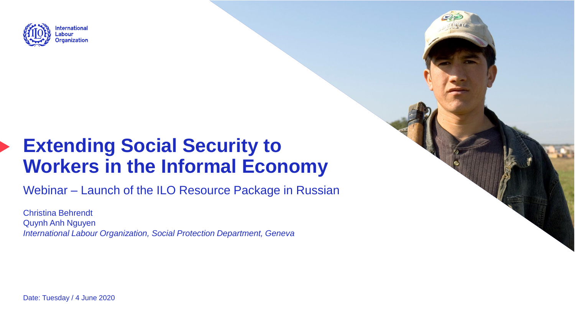

# **Extending Social Security to Workers in the Informal Economy**

Webinar – Launch of the ILO Resource Package in Russian

Christina Behrendt Quynh Anh Nguyen *International Labour Organization, Social Protection Department, Geneva*

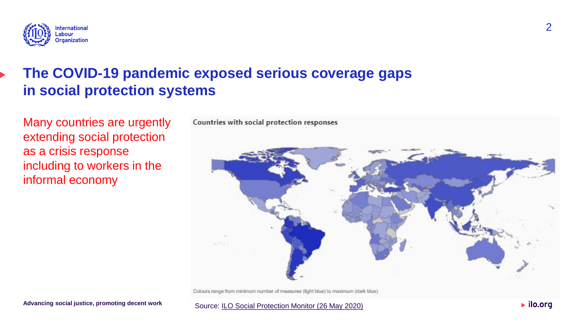

## **The COVID-19 pandemic exposed serious coverage gaps in social protection systems**

Many countries are urgently extending social protection as a crisis response including to workers in the informal economy



Colours range from minimum number of measures (light blue) to maximum (dark blue)

Source: [ILO Social Protection Monitor \(26 May 2020\)](https://www.social-protection.org/gimi/ShowWiki.action?id=3417)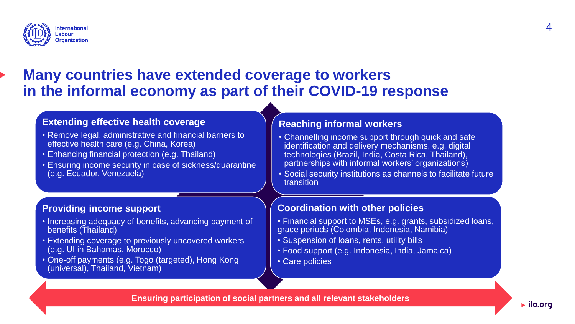

## **Many countries have extended coverage to workers in the informal economy as part of their COVID-19 response**

### **Extending effective health coverage**

- Remove legal, administrative and financial barriers to effective health care (e.g. China, Korea)
- Enhancing financial protection (e.g. Thailand)
- Ensuring income security in case of sickness/quarantine (e.g. Ecuador, Venezuela)

### **Providing income support**

- Increasing adequacy of benefits, advancing payment of benefits (Thailand)
- Extending coverage to previously uncovered workers (e.g. UI in Bahamas, Morocco)
- One-off payments (e.g. Togo (targeted), Hong Kong (universal), Thailand, Vietnam)

### **Reaching informal workers**

- Channelling income support through quick and safe identification and delivery mechanisms, e.g. digital technologies (Brazil, India, Costa Rica, Thailand), partnerships with informal workers' organizations)
- Social security institutions as channels to facilitate future transition

### **Coordination with other policies**

- Financial support to MSEs, e.g. grants, subsidized loans, grace periods (Colombia, Indonesia, Namibia)
- Suspension of loans, rents, utility bills
- Food support (e.g. Indonesia, India, Jamaica)
- Care policies

**Ensuring participation of social partners and all relevant stakeholders**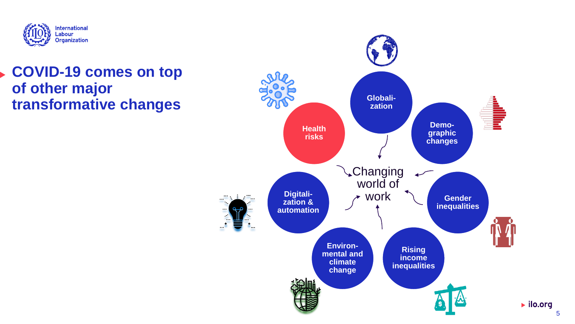

## **COVID-19 comes on top of other major transformative changes**

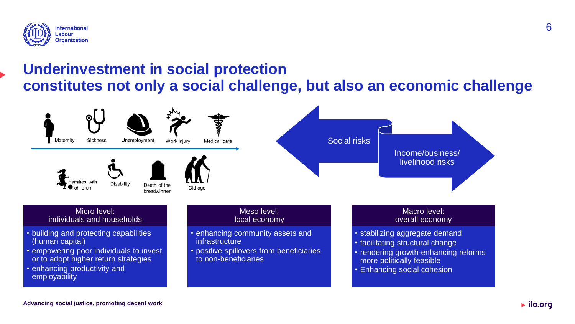

## **Underinvestment in social protection constitutes not only a social challenge, but also an economic challenge**

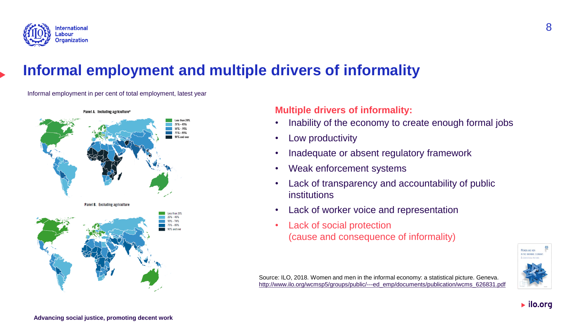

## **Informal employment and multiple drivers of informality**

Informal employment in per cent of total employment, latest year



### **Multiple drivers of informality:**

- Inability of the economy to create enough formal jobs
- Low productivity
- Inadequate or absent regulatory framework
- Weak enforcement systems
- Lack of transparency and accountability of public institutions
- Lack of worker voice and representation
- Lack of social protection (cause and consequence of informality)



 $\blacktriangleright$  ilo.org

Source: ILO, 2018. Women and men in the informal economy: a statistical picture. Geneva. [http://www.ilo.org/wcmsp5/groups/public/---ed\\_emp/documents/publication/wcms\\_626831.pdf](http://www.ilo.org/wcmsp5/groups/public/---ed_emp/documents/publication/wcms_626831.pdf)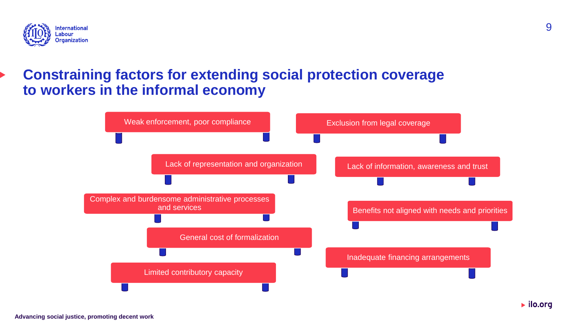

## **Constraining factors for extending social protection coverage to workers in the informal economy**

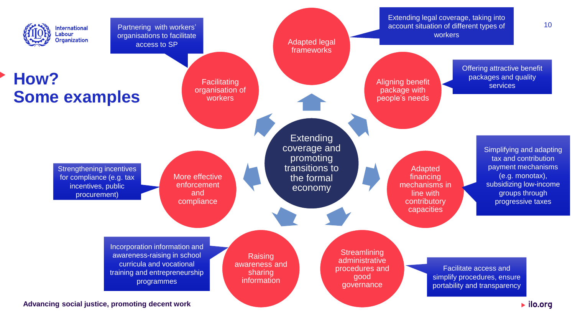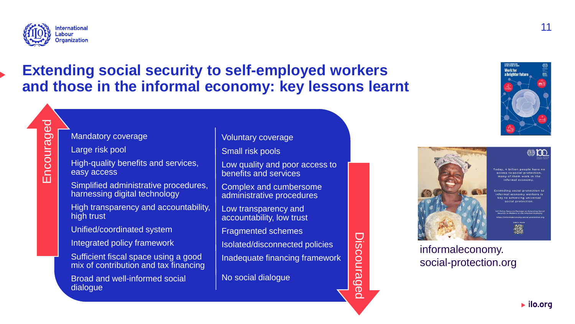

Encouraged

## **Extending social security to self-employed workers and those in the informal economy: key lessons learnt**

#### Mandatory coverage

Large risk pool

High-quality benefits and services, easy access

Simplified administrative procedures, harnessing digital technology

High transparency and accountability, high trust

Unified/coordinated system

Integrated policy framework

Sufficient fiscal space using a good mix of contribution and tax financing

Broad and well-informed social dialogue

Voluntary coverage

Small risk pools

Low quality and poor access to benefits and services

Complex and cumbersome administrative procedures

Low transparency and accountability, low trust

Fragmented schemes

Isolated/disconnected policies

Inadequate financing framework

No social dialogue







cess to social protection av of them work in the

ev to achieving universal

informaleconomy. social-protection.org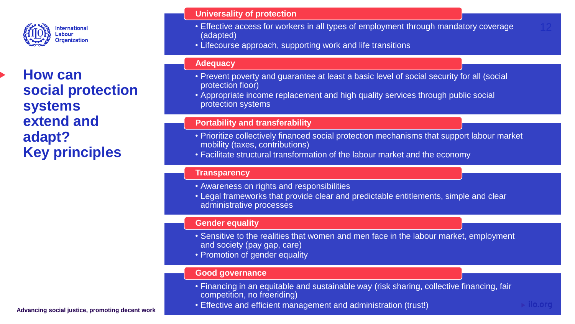

**How can social protection systems extend and adapt? Key principles**

#### **Universality of protection**

- Effective access for workers in all types of employment through mandatory coverage (adapted)
- Lifecourse approach, supporting work and life transitions

#### **Adequacy**

- Prevent poverty and guarantee at least a basic level of social security for all (social protection floor)
- Appropriate income replacement and high quality services through public social protection systems

#### **Portability and transferability**

- Prioritize collectively financed social protection mechanisms that support labour market mobility (taxes, contributions)
- Facilitate structural transformation of the labour market and the economy

#### **Transparency**

- Awareness on rights and responsibilities
- Legal frameworks that provide clear and predictable entitlements, simple and clear administrative processes

#### **Gender equality**

- Sensitive to the realities that women and men face in the labour market, employment and society (pay gap, care)
- Promotion of gender equality

#### **Good governance**

- Financing in an equitable and sustainable way (risk sharing, collective financing, fair competition, no freeriding)
- Effective and efficient management and administration (trust!)

**Advancing social justice, promoting decent work**

 $\triangleright$  ilo.org

12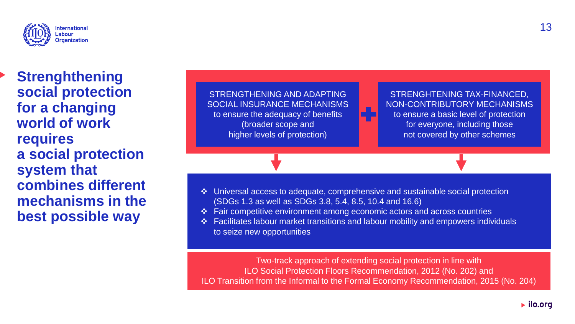

**Strenghthening social protection for a changing world of work requires a social protection system that combines different mechanisms in the best possible way**



- ❖ Universal access to adequate, comprehensive and sustainable social protection (SDGs 1.3 as well as SDGs 3.8, 5.4, 8.5, 10.4 and 16.6)
- ❖ Fair competitive environment among economic actors and across countries
- ❖ Facilitates labour market transitions and labour mobility and empowers individuals to seize new opportunities

Two-track approach of extending social protection in line with ILO Social Protection Floors Recommendation, 2012 (No. 202) and ILO Transition from the Informal to the Formal Economy Recommendation, 2015 (No. 204)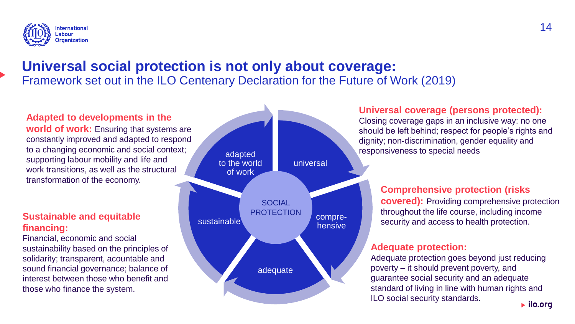

## **Universal social protection is not only about coverage:**  Framework set out in the ILO Centenary Declaration for the Future of Work (2019)

### **Adapted to developments in the**

**world of work:** Ensuring that systems are constantly improved and adapted to respond to a changing economic and social context; supporting labour mobility and life and work transitions, as well as the structural transformation of the economy.

### **Sustainable and equitable financing:**

Financial, economic and social sustainability based on the principles of solidarity; transparent, acountable and sound financial governance; balance of interest between those who benefit and those who finance the system.



### **Universal coverage (persons protected):**

Closing coverage gaps in an inclusive way: no one should be left behind; respect for people's rights and dignity; non-discrimination, gender equality and responsiveness to special needs

### **Comprehensive protection (risks**

**covered):** Providing comprehensive protection throughout the life course, including income security and access to health protection.

#### **Adequate protection:**

Adequate protection goes beyond just reducing poverty – it should prevent poverty, and guarantee social security and an adequate standard of living in line with human rights and ILO social security standards.  $\blacktriangleright$  ilo.org